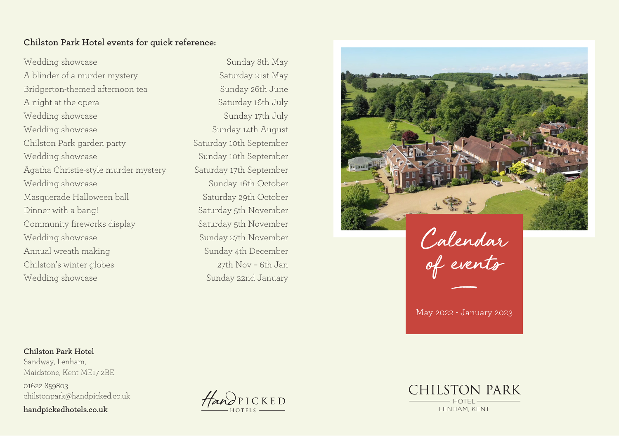### **Chilston Park Hotel events for quick reference:**

Wedding showcase A blinder of a murder mystery Bridgerton-themed afternoon tea A night at the opera Wedding showcase Wedding showcase Chilston Park garden party Wedding showcase Agatha Christie-style murder mystery Wedding showcase Masquerade Halloween ball Dinner with a bang! Community fireworks display Wedding showcase Annual wreath making Chilston's winter globes Wedding showcase

Sunday 8th May Saturday 21st May Sunday 26th June Saturday 16th July Sunday 17th July Sunday 14th August Saturday 10th September Sunday 10th September Saturday 17th September Sunday 16th October Saturday 29th October Saturday 5th November Saturday 5th November Sunday 27th November Sunday 4th December 27th Nov – 6th Jan Sunday 22nd January



Calendar of events

May 2022 - January 2023

#### **Chilston Park Hotel**

Sandway, Lenham, Maidstone, Kent ME17 2BE 01622 859803 chilstonpark@handpicked.co.uk **handpickedhotels.co.uk**



CHILSTON PARK HOTEL LENHAM, KENT